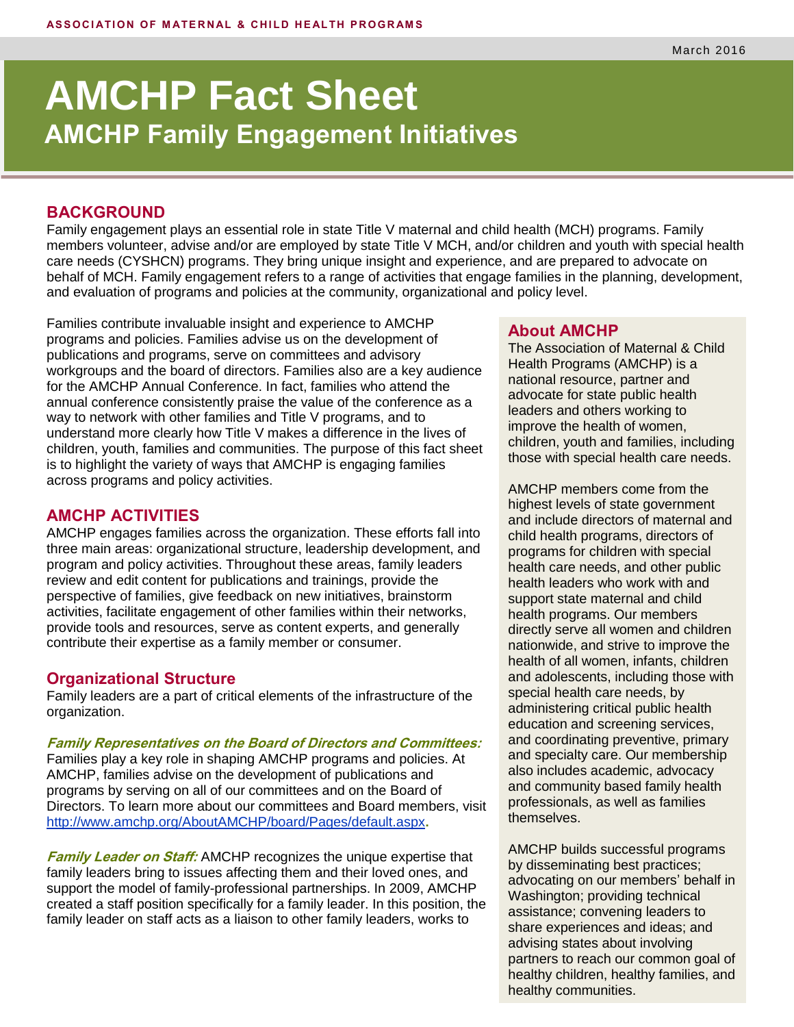# **AMCHP Fact Sheet AMCHP Family Engagement Initiatives**

### **BACKGROUND**

Family engagement plays an essential role in state Title V maternal and child health (MCH) programs. Family members volunteer, advise and/or are employed by state Title V MCH, and/or children and youth with special health care needs (CYSHCN) programs. They bring unique insight and experience, and are prepared to advocate on behalf of MCH. Family engagement refers to a range of activities that engage families in the planning, development, and evaluation of programs and policies at the community, organizational and policy level.

Families contribute invaluable insight and experience to AMCHP programs and policies. Families advise us on the development of publications and programs, serve on committees and advisory workgroups and the board of directors. Families also are a key audience for the AMCHP Annual Conference. In fact, families who attend the annual conference consistently praise the value of the conference as a way to network with other families and Title V programs, and to understand more clearly how Title V makes a difference in the lives of children, youth, families and communities. The purpose of this fact sheet is to highlight the variety of ways that AMCHP is engaging families across programs and policy activities.

## **AMCHP ACTIVITIES**

AMCHP engages families across the organization. These efforts fall into three main areas: organizational structure, leadership development, and program and policy activities. Throughout these areas, family leaders review and edit content for publications and trainings, provide the perspective of families, give feedback on new initiatives, brainstorm activities, facilitate engagement of other families within their networks, provide tools and resources, serve as content experts, and generally contribute their expertise as a family member or consumer.

#### **Organizational Structure**

Family leaders are a part of critical elements of the infrastructure of the organization.

**Family Representatives on the Board of Directors and Committees:**

Families play a key role in shaping AMCHP programs and policies. At AMCHP, families advise on the development of publications and programs by serving on all of our committees and on the Board of Directors. To learn more about our committees and Board members, visit <http://www.amchp.org/AboutAMCHP/board/Pages/default.aspx>**.**

**Family Leader on Staff:** AMCHP recognizes the unique expertise that family leaders bring to issues affecting them and their loved ones, and support the model of family-professional partnerships. In 2009, AMCHP created a staff position specifically for a family leader. In this position, the family leader on staff acts as a liaison to other family leaders, works to

#### **About AMCHP**

The Association of Maternal & Child Health Programs (AMCHP) is a national resource, partner and advocate for state public health leaders and others working to improve the health of women, children, youth and families, including those with special health care needs.

AMCHP members come from the highest levels of state government and include directors of maternal and child health programs, directors of programs for children with special health care needs, and other public health leaders who work with and support state maternal and child health programs. Our members directly serve all women and children nationwide, and strive to improve the health of all women, infants, children and adolescents, including those with special health care needs, by administering critical public health education and screening services, and coordinating preventive, primary and specialty care. Our membership also includes academic, advocacy and community based family health professionals, as well as families themselves.

AMCHP builds successful programs by disseminating best practices; advocating on our members' behalf in Washington; providing technical assistance; convening leaders to share experiences and ideas; and advising states about involving partners to reach our common goal of healthy children, healthy families, and healthy communities.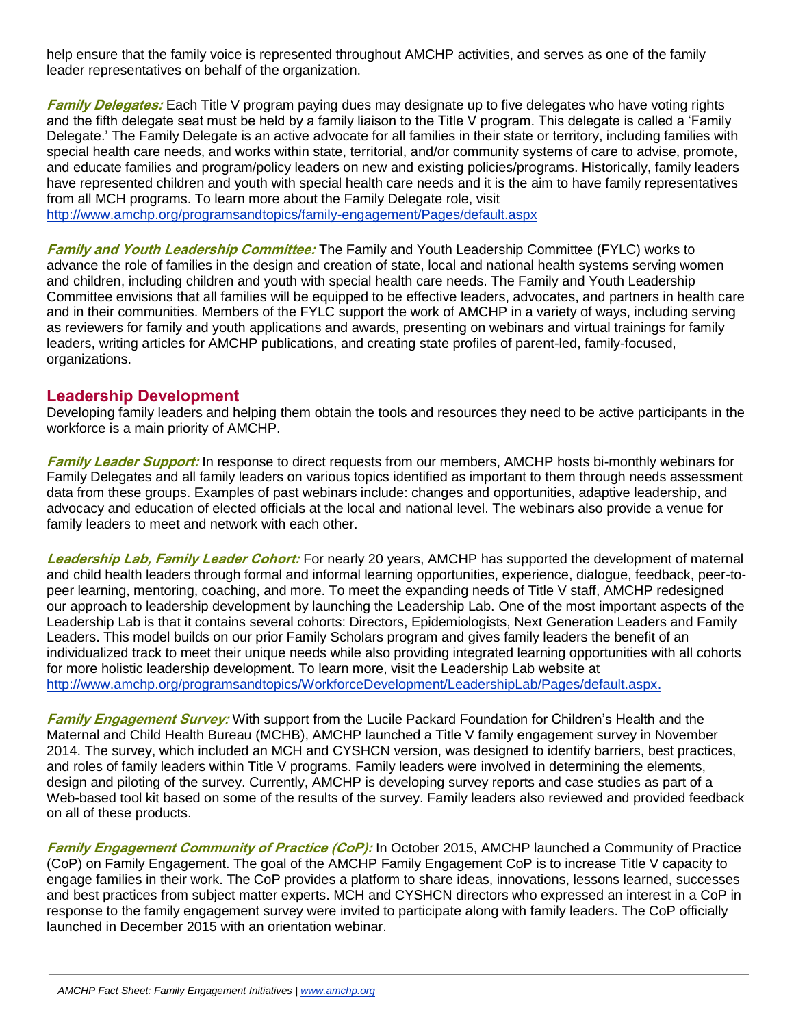help ensure that the family voice is represented throughout AMCHP activities, and serves as one of the family leader representatives on behalf of the organization.

**Family Delegates:** Each Title V program paying dues may designate up to five delegates who have voting rights and the fifth delegate seat must be held by a family liaison to the Title V program. This delegate is called a 'Family Delegate.' The Family Delegate is an active advocate for all families in their state or territory, including families with special health care needs, and works within state, territorial, and/or community systems of care to advise, promote, and educate families and program/policy leaders on new and existing policies/programs. Historically, family leaders have represented children and youth with special health care needs and it is the aim to have family representatives from all MCH programs. To learn more about the Family Delegate role, visit <http://www.amchp.org/programsandtopics/family-engagement/Pages/default.aspx>

**Family and Youth Leadership Committee:** The Family and Youth Leadership Committee (FYLC) works to advance the role of families in the design and creation of state, local and national health systems serving women and children, including children and youth with special health care needs. The Family and Youth Leadership Committee envisions that all families will be equipped to be effective leaders, advocates, and partners in health care and in their communities. Members of the FYLC support the work of AMCHP in a variety of ways, including serving as reviewers for family and youth applications and awards, presenting on webinars and virtual trainings for family leaders, writing articles for AMCHP publications, and creating state profiles of parent-led, family-focused, organizations.

# **Leadership Development**

Developing family leaders and helping them obtain the tools and resources they need to be active participants in the workforce is a main priority of AMCHP.

**Family Leader Support:** In response to direct requests from our members, AMCHP hosts bi-monthly webinars for Family Delegates and all family leaders on various topics identified as important to them through needs assessment data from these groups. Examples of past webinars include: changes and opportunities, adaptive leadership, and advocacy and education of elected officials at the local and national level. The webinars also provide a venue for family leaders to meet and network with each other.

**Leadership Lab, Family Leader Cohort:** For nearly 20 years, AMCHP has supported the development of maternal and child health leaders through formal and informal learning opportunities, experience, dialogue, feedback, peer-topeer learning, mentoring, coaching, and more. To meet the expanding needs of Title V staff, AMCHP redesigned our approach to leadership development by launching the Leadership Lab. One of the most important aspects of the Leadership Lab is that it contains several cohorts: Directors, Epidemiologists, Next Generation Leaders and Family Leaders. This model builds on our prior Family Scholars program and gives family leaders the benefit of an individualized track to meet their unique needs while also providing integrated learning opportunities with all cohorts for more holistic leadership development. To learn more, visit the Leadership Lab website at [http://www.amchp.org/programsandtopics/WorkforceDevelopment/LeadershipLab/Pages/default.aspx.](http://www.amchp.org/programsandtopics/WorkforceDevelopment/LeadershipLab/Pages/default.aspx)

**Family Engagement Survey:** With support from the Lucile Packard Foundation for Children's Health and the Maternal and Child Health Bureau (MCHB), AMCHP launched a Title V family engagement survey in November 2014. The survey, which included an MCH and CYSHCN version, was designed to identify barriers, best practices, and roles of family leaders within Title V programs. Family leaders were involved in determining the elements, design and piloting of the survey. Currently, AMCHP is developing survey reports and case studies as part of a Web-based tool kit based on some of the results of the survey. Family leaders also reviewed and provided feedback on all of these products.

**Family Engagement Community of Practice (CoP):** In October 2015, AMCHP launched a Community of Practice (CoP) on Family Engagement. The goal of the AMCHP Family Engagement CoP is to increase Title V capacity to engage families in their work. The CoP provides a platform to share ideas, innovations, lessons learned, successes and best practices from subject matter experts. MCH and CYSHCN directors who expressed an interest in a CoP in response to the family engagement survey were invited to participate along with family leaders. The CoP officially launched in December 2015 with an orientation webinar.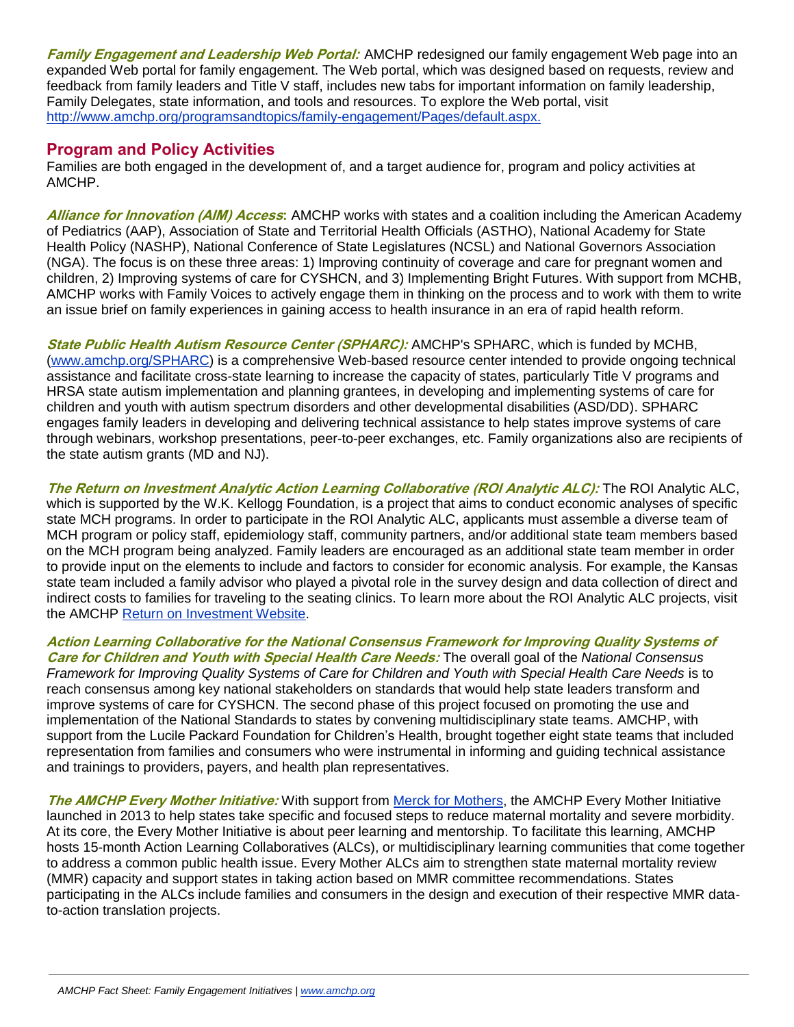**Family Engagement and Leadership Web Portal:** AMCHP redesigned our family engagement Web page into an expanded Web portal for family engagement. The Web portal, which was designed based on requests, review and feedback from family leaders and Title V staff, includes new tabs for important information on family leadership, Family Delegates, state information, and tools and resources. To explore the Web portal, visit [http://www.amchp.org/programsandtopics/family-engagement/Pages/default.aspx.](http://www.amchp.org/programsandtopics/family-engagement/Pages/default.aspx)

## **Program and Policy Activities**

Families are both engaged in the development of, and a target audience for, program and policy activities at AMCHP.

**Alliance for Innovation (AIM) Access:** AMCHP works with states and a coalition including the American Academy of Pediatrics (AAP), Association of State and Territorial Health Officials (ASTHO), National Academy for State Health Policy (NASHP), National Conference of State Legislatures (NCSL) and National Governors Association (NGA). The focus is on these three areas: 1) Improving continuity of coverage and care for pregnant women and children, 2) Improving systems of care for CYSHCN, and 3) Implementing Bright Futures. With support from MCHB, AMCHP works with Family Voices to actively engage them in thinking on the process and to work with them to write an issue brief on family experiences in gaining access to health insurance in an era of rapid health reform.

**State Public Health Autism Resource Center (SPHARC):** AMCHP's SPHARC, which is funded by MCHB, [\(www.amchp.org/SPHARC\)](http://www.amchp.org/SPHARC) is a comprehensive Web-based resource center intended to provide ongoing technical assistance and facilitate cross-state learning to increase the capacity of states, particularly Title V programs and HRSA state autism implementation and planning grantees, in developing and implementing systems of care for children and youth with autism spectrum disorders and other developmental disabilities (ASD/DD). SPHARC engages family leaders in developing and delivering technical assistance to help states improve systems of care through webinars, workshop presentations, peer-to-peer exchanges, etc. Family organizations also are recipients of the state autism grants (MD and NJ).

**The Return on Investment Analytic Action Learning Collaborative (ROI Analytic ALC):** The ROI Analytic ALC, which is supported by the W.K. Kellogg Foundation, is a project that aims to conduct economic analyses of specific state MCH programs. In order to participate in the ROI Analytic ALC, applicants must assemble a diverse team of MCH program or policy staff, epidemiology staff, community partners, and/or additional state team members based on the MCH program being analyzed. Family leaders are encouraged as an additional state team member in order to provide input on the elements to include and factors to consider for economic analysis. For example, the Kansas state team included a family advisor who played a pivotal role in the survey design and data collection of direct and indirect costs to families for traveling to the seating clinics. To learn more about the ROI Analytic ALC projects, visit the AMCHP [Return on Investment Website.](http://www.amchp.org/programsandtopics/data-assessment/Pages/Return-on-Investment.aspx)

**Action Learning Collaborative for the National Consensus Framework for Improving Quality Systems of Care for Children and Youth with Special Health Care Needs:** The overall goal of the *National Consensus Framework for Improving Quality Systems of Care for Children and Youth with Special Health Care Needs* is to reach consensus among key national stakeholders on standards that would help state leaders transform and improve systems of care for CYSHCN. The second phase of this project focused on promoting the use and implementation of the National Standards to states by convening multidisciplinary state teams. AMCHP, with support from the Lucile Packard Foundation for Children's Health, brought together eight state teams that included representation from families and consumers who were instrumental in informing and guiding technical assistance and trainings to providers, payers, and health plan representatives.

**The AMCHP Every Mother Initiative:** With support from [Merck for Mothers,](http://www.merckformothers.com/?utm_medium=cpc&utm_source=%5bpuublisher%5d&utm_campaign=Brand&utm_term=merck%20for%20mothers&utm_content=s%5bkeyword_id%5d_dc%7cpcrid%7c48940994118%7cpkw%7cmerck%20for%20mothers%7cpmt%7ce) the AMCHP Every Mother Initiative launched in 2013 to help states take specific and focused steps to reduce maternal mortality and severe morbidity. At its core, the Every Mother Initiative is about peer learning and mentorship. To facilitate this learning, AMCHP hosts 15-month Action Learning Collaboratives (ALCs), or multidisciplinary learning communities that come together to address a common public health issue. Every Mother ALCs aim to strengthen state maternal mortality review (MMR) capacity and support states in taking action based on MMR committee recommendations. States participating in the ALCs include families and consumers in the design and execution of their respective MMR datato-action translation projects.